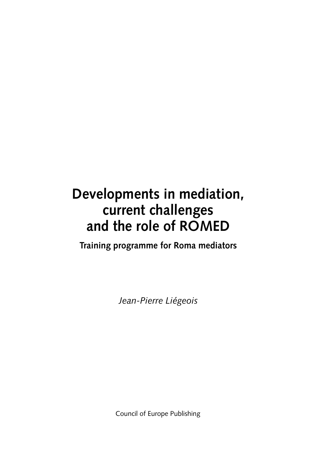## **Developments in mediation, current challenges and the role of ROMED**

**Training programme for Roma mediators**

*Jean- Pierre Liégeois*

Council of Europe Publishing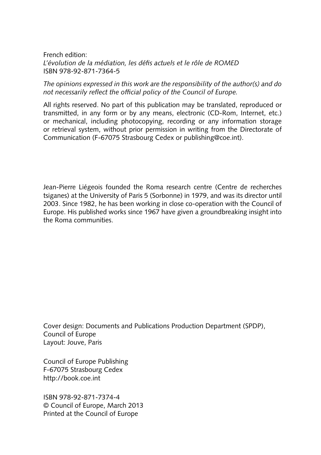French edition: *L'évolution de la médiation, les défs actuels et le rôle de ROMED* ISBN 978-92-871-7364-5

*The opinions expressed in this work are the responsibility of the author(s) and do*  not necessarily reflect the official policy of the Council of Europe.

All rights reserved. No part of this publication may be translated, reproduced or transmitted, in any form or by any means, electronic (CD- Rom, Internet, etc.) or mechanical, including photocopying, recording or any information storage or retrieval system, without prior permission in writing from the Directorate of Communication (F-67075 Strasbourg Cedex or publishing@coe.int).

Jean-Pierre Liégeois founded the Roma research centre (Centre de recherches tsiganes) at the University of Paris 5 (Sorbonne) in 1979, and was its director until 2003. Since 1982, he has been working in close co-operation with the Council of Europe. His published works since 1967 have given a groundbreaking insight into the Roma communities.

Cover design: Documents and Publications Production Department (SPDP), Council of Europe Layout: Jouve, Paris

Council of Europe Publishing F-67075 Strasbourg Cedex http://book.coe.int

ISBN 978- 92- 871- 7374- 4 © Council of Europe, March 2013 Printed at the Council of Europe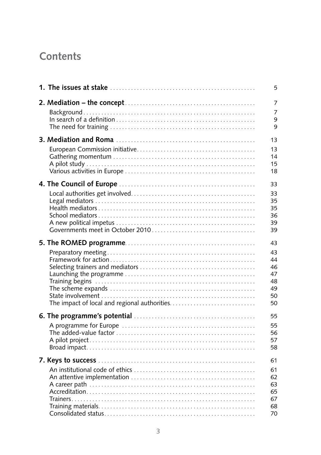## Contents

| 5  |
|----|
| 7  |
| 7  |
| 9  |
| 9  |
| 13 |
| 13 |
| 14 |
| 15 |
| 18 |
| 33 |
| 33 |
| 35 |
| 35 |
| 36 |
| 39 |
| 39 |
| 43 |
| 43 |
| 44 |
| 46 |
| 47 |
| 48 |
| 49 |
| 50 |
| 50 |
| 55 |
| 55 |
| 56 |
| 57 |
| 58 |
| 61 |
| 61 |
| 62 |
| 63 |
| 65 |
| 67 |
| 68 |
| 70 |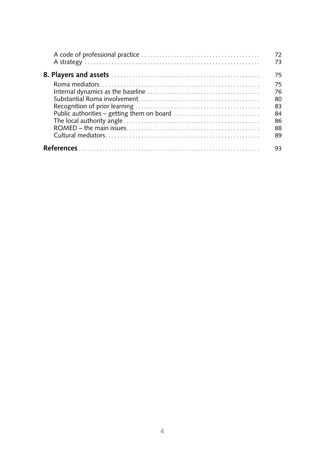| 72<br>73 |
|----------|
| 75       |
| 75       |
| 76       |
| 80       |
| 83       |
| 84       |
| 86       |
| 88       |
| 89       |
| 93       |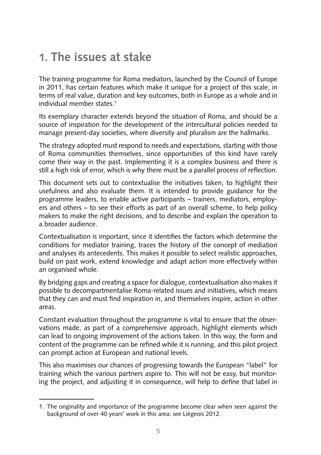## **1. The issues at stake**

The training programme for Roma mediators, launched by the Council of Europe in 2011, has certain features which make it unique for a project of this scale, in terms of real value, duration and key outcomes, both in Europe as a whole and in individual member states.<sup>1</sup>

Its exemplary character extends beyond the situation of Roma, and should be a source of inspiration for the development of the intercultural policies needed to manage present- day societies, where diversity and pluralism are the hallmarks.

The strategy adopted must respond to needs and expectations, starting with those of Roma communities themselves, since opportunities of this kind have rarely come their way in the past. Implementing it is a complex business and there is still a high risk of error, which is why there must be a parallel process of refection.

This document sets out to contextualise the initiatives taken, to highlight their usefulness and also evaluate them. It is intended to provide guidance for the programme leaders, to enable active participants – trainers, mediators, employers and others – to see their efforts as part of an overall scheme, to help policy makers to make the right decisions, and to describe and explain the operation to a broader audience.

Contextualisation is important, since it identifes the factors which determine the conditions for mediator training, traces the history of the concept of mediation and analyses its antecedents. This makes it possible to select realistic approaches, build on past work, extend knowledge and adapt action more effectively within an organised whole.

By bridging gaps and creating a space for dialogue, contextualisation also makes it possible to decompartmentalise Roma- related issues and initiatives, which means that they can and must fnd inspiration in, and themselves inspire, action in other areas.

Constant evaluation throughout the programme is vital to ensure that the observations made, as part of a comprehensive approach, highlight elements which can lead to ongoing improvement of the actions taken. In this way, the form and content of the programme can be refned while it is running, and this pilot project can prompt action at European and national levels.

This also maximises our chances of progressing towards the European "label" for training which the various partners aspire to. This will not be easy, but monitoring the project, and adjusting it in consequence, will help to defne that label in

<sup>1.</sup> The originality and importance of the programme become clear when seen against the background of over 40 years' work in this area: see Liégeois 2012.